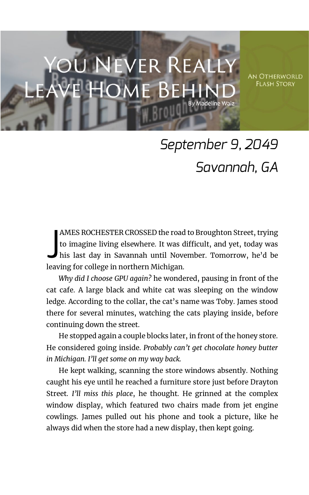## **EVER REALL**

**AN OTHERWORLD FLASH STORY** 

## *September 9, 2049 Savannah, GA*

AMES ROCHESTER CROSSED the road to Broughton Street, trying to imagine living elsewhere. It was difficult, and yet, today was his last day in Savannah until November. Tomorrow, he'd be leaving for college in northern Michigan. J

*Why did I choose GPU again?* he wondered, pausing in front of the cat cafe. A large black and white cat was sleeping on the window ledge. According to the collar, the cat's name was Toby. James stood there for several minutes, watching the cats playing inside, before continuing down the street.

He stopped again a couple blocks later, in front of the honey store. He considered going inside. *Probably can't get chocolate honey butter in Michigan. I'll get some on my way back.*

He kept walking, scanning the store windows absently. Nothing caught his eye until he reached a furniture store just before Drayton Street. *I'll miss this place*, he thought. He grinned at the complex window display, which featured two chairs made from jet engine cowlings. James pulled out his phone and took a picture, like he always did when the store had a new display, then kept going.